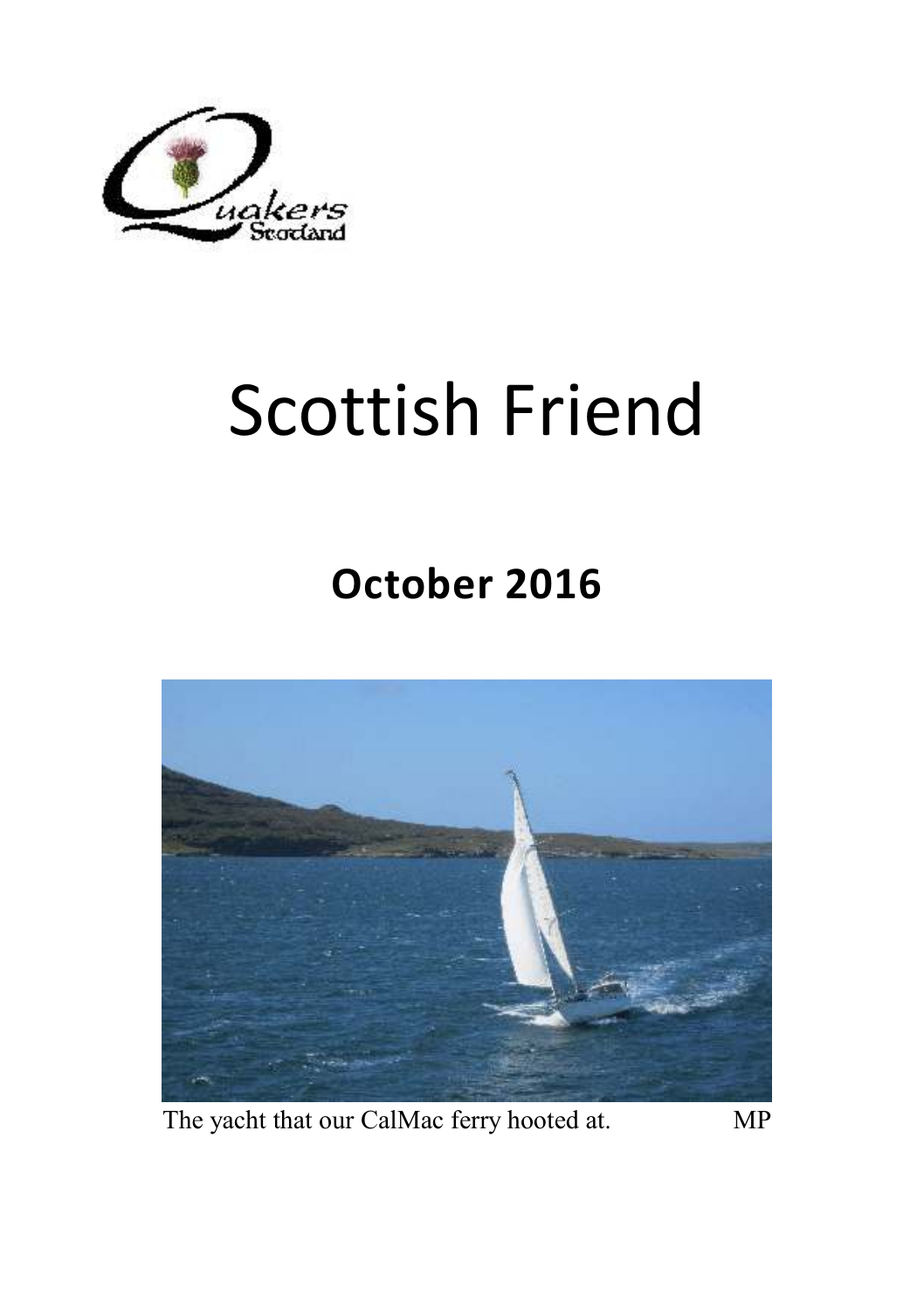

# Scottish Friend

## **October 2016**



The yacht that our CalMac ferry hooted at. MP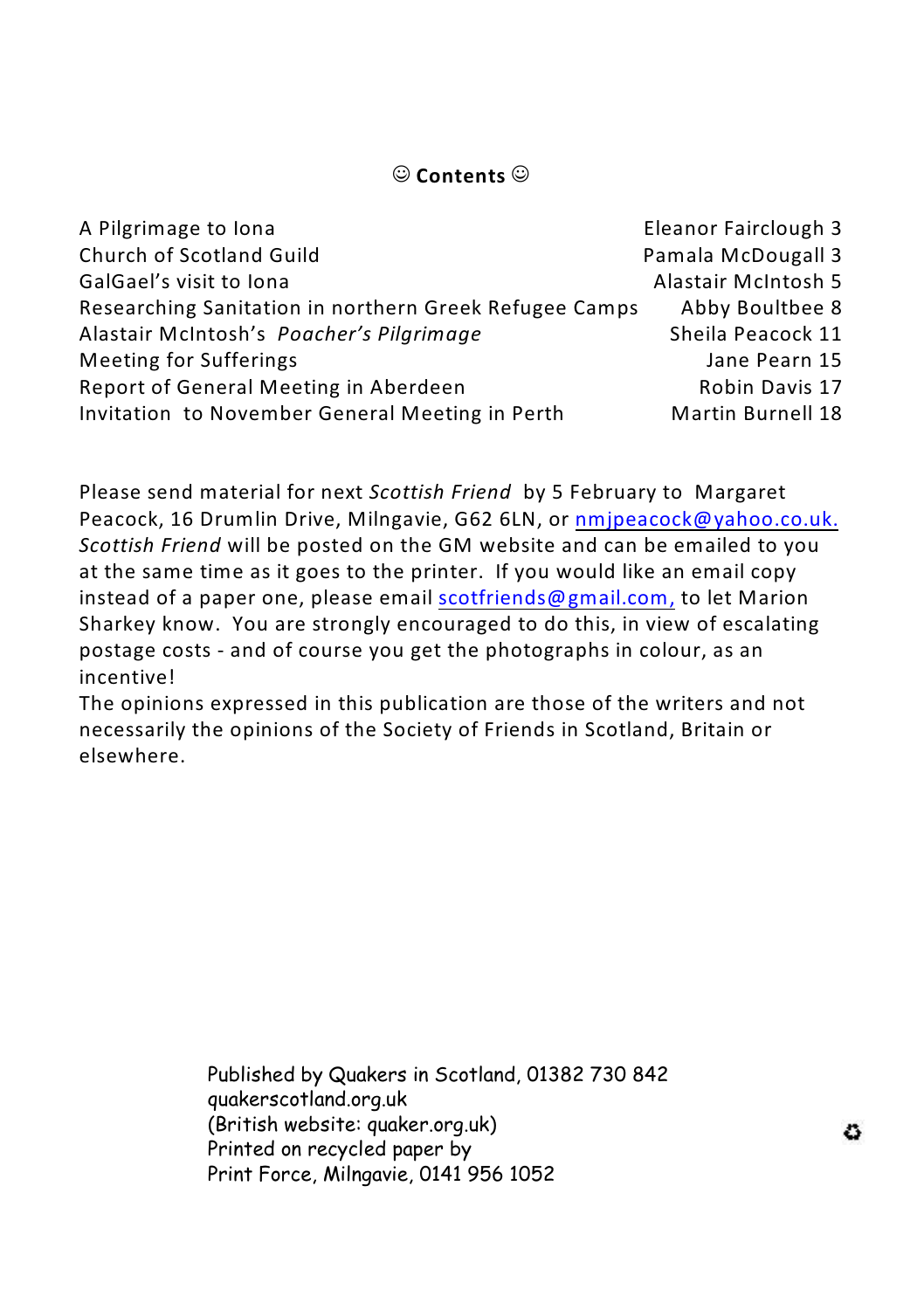#### ( **Contents** (

| A Pilgrimage to lona                                   | Eleanor Fairclough 3     |
|--------------------------------------------------------|--------------------------|
| Church of Scotland Guild                               | Pamala McDougall 3       |
| GalGael's visit to lona                                | Alastair McIntosh 5      |
| Researching Sanitation in northern Greek Refugee Camps | Abby Boultbee 8          |
| Alastair McIntosh's Poacher's Pilgrimage               | Sheila Peacock 11        |
| Meeting for Sufferings                                 | Jane Pearn 15            |
| Report of General Meeting in Aberdeen                  | Robin Davis 17           |
| Invitation to November General Meeting in Perth        | <b>Martin Burnell 18</b> |

Please send material for next *Scottish Friend* by 5 February to Margaret Peacock, 16 Drumlin Drive, Milngavie, G62 6LN, or [nmjpeacock@yahoo.co.uk.](mailto:nmjpeacock@yahoo.co.uk.) *Scottish Friend* will be posted on the GM website and can be emailed to you at the same time as it goes to the printer. If you would like an email copy instead of a paper one, please email [scotfriends@gmail.com,](mailto:scotfriends@aol.com,) to let Marion Sharkey know. You are strongly encouraged to do this, in view of escalating postage costs - and of course you get the photographs in colour, as an incentive!

The opinions expressed in this publication are those of the writers and not necessarily the opinions of the Society of Friends in Scotland, Britain or elsewhere.

> Published by Quakers in Scotland, 01382 730 842 quakerscotland.org.uk (British website: quaker.org.uk) Printed on recycled paper by Print Force, Milngavie, 0141 956 1052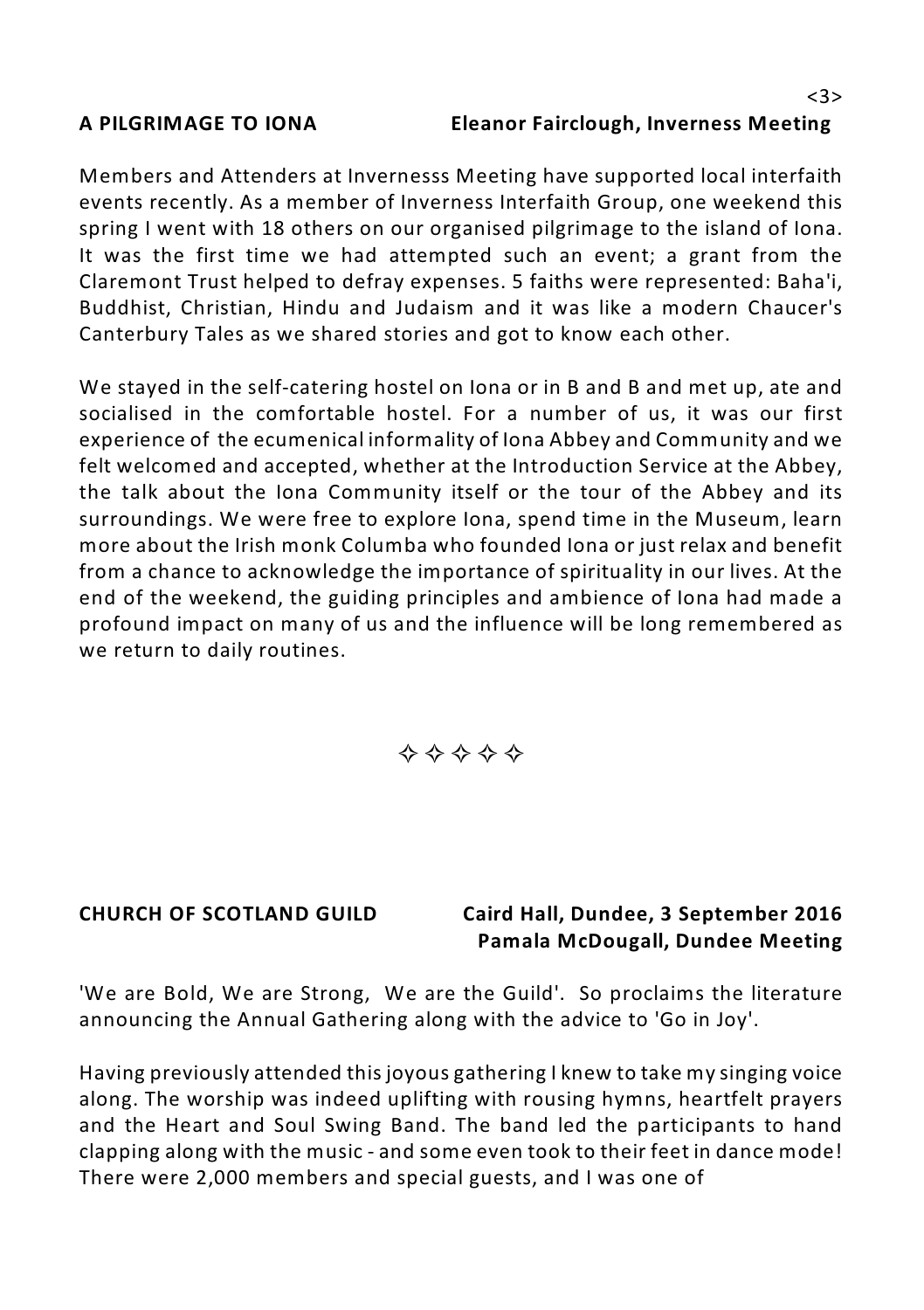Members and Attenders at Invernesss Meeting have supported local interfaith events recently. As a member of Inverness Interfaith Group, one weekend this spring I went with 18 others on our organised pilgrimage to the island of Iona. It was the first time we had attempted such an event; a grant from the Claremont Trust helped to defray expenses. 5 faiths were represented: Baha'i, Buddhist, Christian, Hindu and Judaism and it was like a modern Chaucer's Canterbury Tales as we shared stories and got to know each other.

We stayed in the self-catering hostel on lona or in B and B and met up, ate and socialised in the comfortable hostel. For a number of us, it was our first experience of the ecumenical informality of Iona Abbey and Community and we felt welcomed and accepted, whether at the Introduction Service at the Abbey, the talk about the Iona Community itself or the tour of the Abbey and its surroundings. We were free to explore Iona, spend time in the Museum, learn more about the Irish monk Columba who founded Iona or just relax and benefit from a chance to acknowledge the importance of spirituality in our lives. At the end of the weekend, the guiding principles and ambience of Iona had made a profound impact on many of us and the influence will be long remembered as we return to daily routines.

$$
\diamondsuit \diamondsuit \diamondsuit \diamondsuit \diamondsuit
$$

#### **CHURCH OF SCOTLAND GUILD Caird Hall, Dundee, 3 September 2016 Pamala McDougall, Dundee Meeting**

'We are Bold, We are Strong, We are the Guild'. So proclaims the literature announcing the Annual Gathering along with the advice to 'Go in Joy'.

Having previously attended this joyous gathering I knew to take my singing voice along. The worship was indeed uplifting with rousing hymns, heartfelt prayers and the Heart and Soul Swing Band. The band led the participants to hand clapping along with the music - and some even took to their feet in dance mode! There were 2,000 members and special guests, and I was one of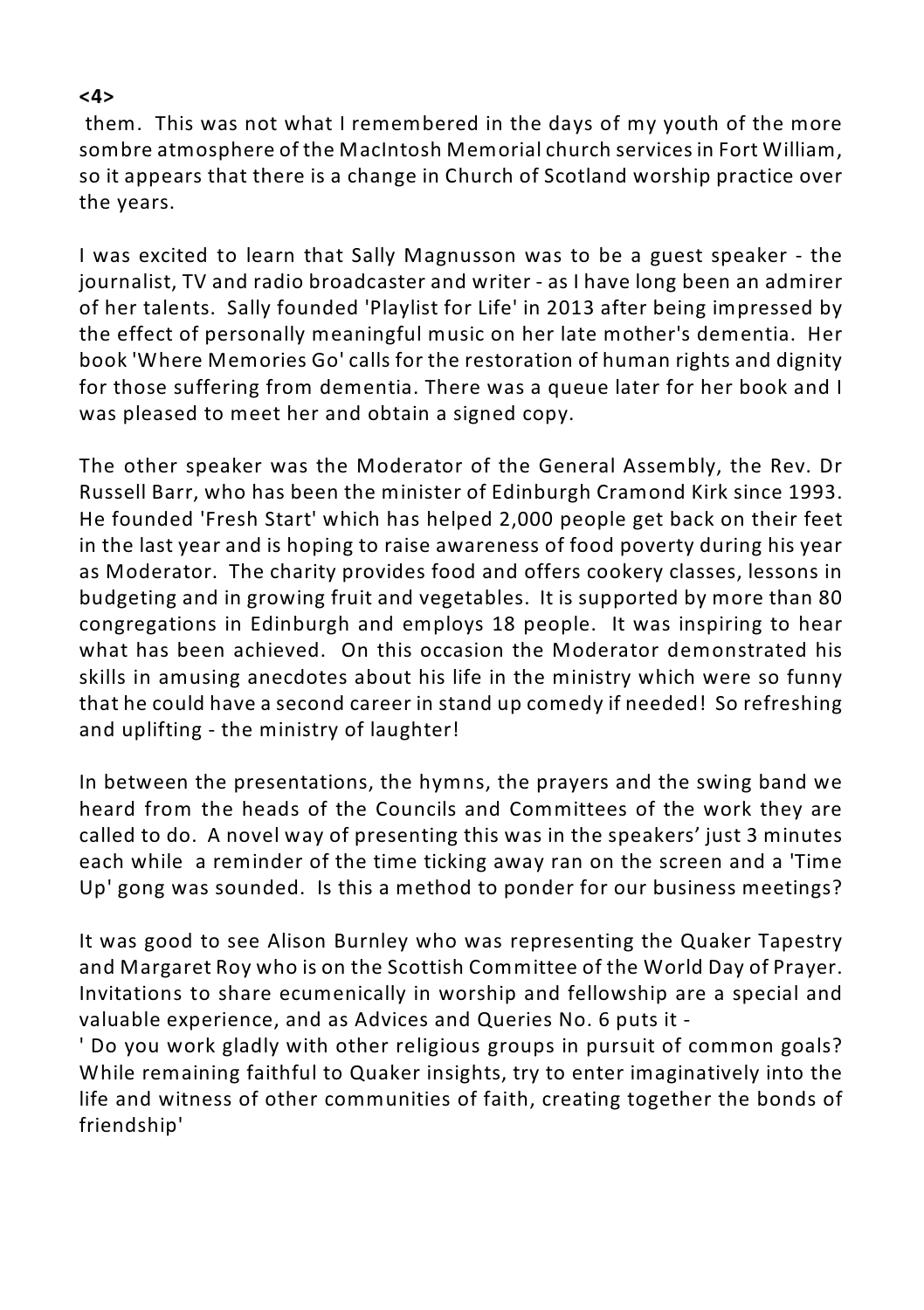#### **<4>**

 them. This was not what I remembered in the days of my youth of the more sombre atmosphere of the MacIntosh Memorial church servicesin Fort William, so it appears that there is a change in Church of Scotland worship practice over the years.

I was excited to learn that Sally Magnusson was to be a guest speaker - the journalist, TV and radio broadcaster and writer - as I have long been an admirer of her talents. Sally founded 'Playlist for Life' in 2013 after being impressed by the effect of personally meaningful music on her late mother's dementia. Her book 'Where Memories Go' calls for the restoration of human rights and dignity for those suffering from dementia. There was a queue later for her book and I was pleased to meet her and obtain a signed copy.

The other speaker was the Moderator of the General Assembly, the Rev. Dr Russell Barr, who has been the minister of Edinburgh Cramond Kirk since 1993. He founded 'Fresh Start' which has helped 2,000 people get back on their feet in the last year and is hoping to raise awareness of food poverty during his year as Moderator. The charity provides food and offers cookery classes, lessons in budgeting and in growing fruit and vegetables. It is supported by more than 80 congregations in Edinburgh and employs 18 people. It was inspiring to hear what has been achieved. On this occasion the Moderator demonstrated his skills in amusing anecdotes about his life in the ministry which were so funny that he could have a second career in stand up comedy if needed! So refreshing and uplifting - the ministry of laughter!

In between the presentations, the hymns, the prayers and the swing band we heard from the heads of the Councils and Committees of the work they are called to do. A novel way of presenting this was in the speakers' just 3 minutes each while a reminder of the time ticking away ran on the screen and a 'Time Up' gong was sounded. Is this a method to ponder for our business meetings?

It was good to see Alison Burnley who was representing the Quaker Tapestry and Margaret Roy who is on the Scottish Committee of the World Day of Prayer. Invitations to share ecumenically in worship and fellowship are a special and valuable experience, and as Advices and Queries No. 6 puts it -

' Do you work gladly with other religious groups in pursuit of common goals? While remaining faithful to Quaker insights, try to enter imaginatively into the life and witness of other communities of faith, creating together the bonds of friendship'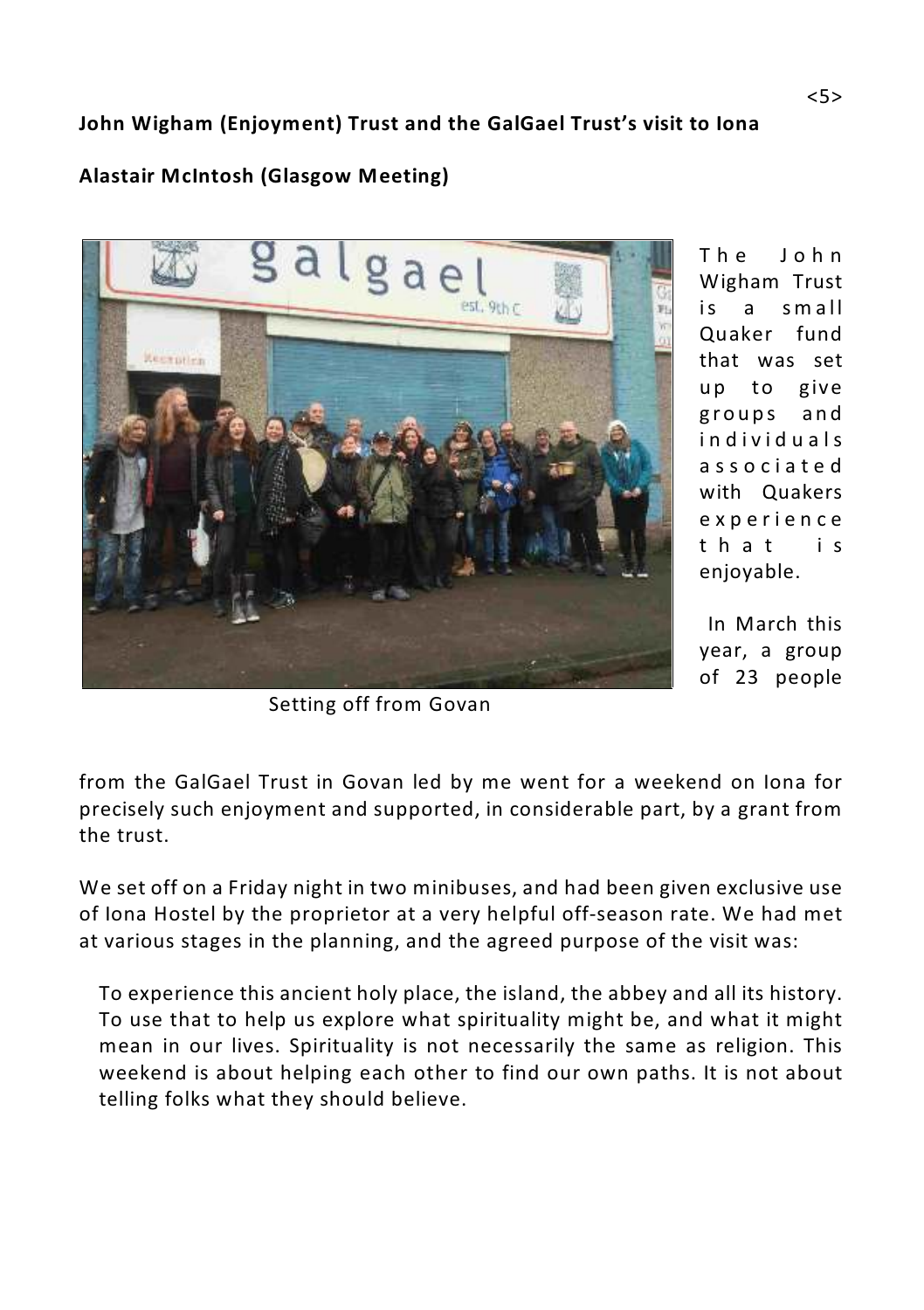### **John Wigham (Enjoyment) Trust and the GalGael Trust's visit to Iona**

#### **Alastair McIntosh (Glasgow Meeting)**



T h e J ohn Wigham Trust is a small Quaker fund that was set up to give g roups and i n d i vid u a l s assoc i a t e d with Quakers e x p erien c e t h a t is enjoyable.

 In March this year, a group of 23 people

Setting off from Govan

from the GalGael Trust in Govan led by me went for a weekend on Iona for precisely such enjoyment and supported, in considerable part, by a grant from the trust.

We set off on a Friday night in two minibuses, and had been given exclusive use of Iona Hostel by the proprietor at a very helpful off-season rate. We had met at various stages in the planning, and the agreed purpose of the visit was:

To experience this ancient holy place, the island, the abbey and all its history. To use that to help us explore what spirituality might be, and what it might mean in our lives. Spirituality is not necessarily the same as religion. This weekend is about helping each other to find our own paths. It is not about telling folks what they should believe.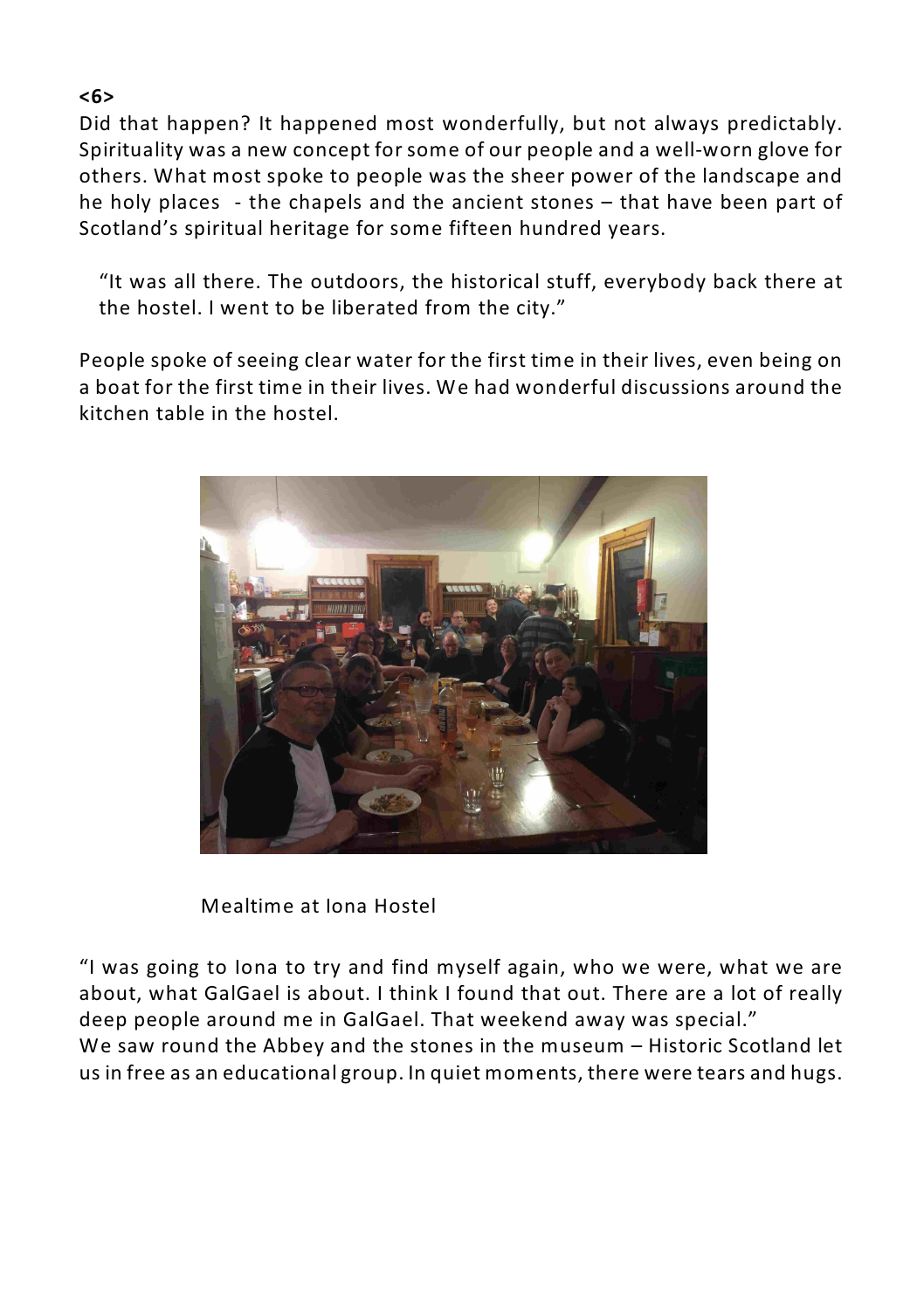Did that happen? It happened most wonderfully, but not always predictably. Spirituality was a new concept for some of our people and a well-worn glove for others. What most spoke to people was the sheer power of the landscape and he holy places - the chapels and the ancient stones – that have been part of Scotland's spiritual heritage for some fifteen hundred years.

"It was all there. The outdoors, the historical stuff, everybody back there at the hostel. I went to be liberated from the city."

People spoke of seeing clear water for the first time in their lives, even being on a boat for the first time in their lives. We had wonderful discussions around the kitchen table in the hostel.



Mealtime at Iona Hostel

"I was going to Iona to try and find myself again, who we were, what we are about, what GalGael is about. I think I found that out. There are a lot of really deep people around me in GalGael. That weekend away was special." We saw round the Abbey and the stones in the museum – Historic Scotland let us in free as an educational group. In quiet moments, there were tears and hugs.

#### **<6>**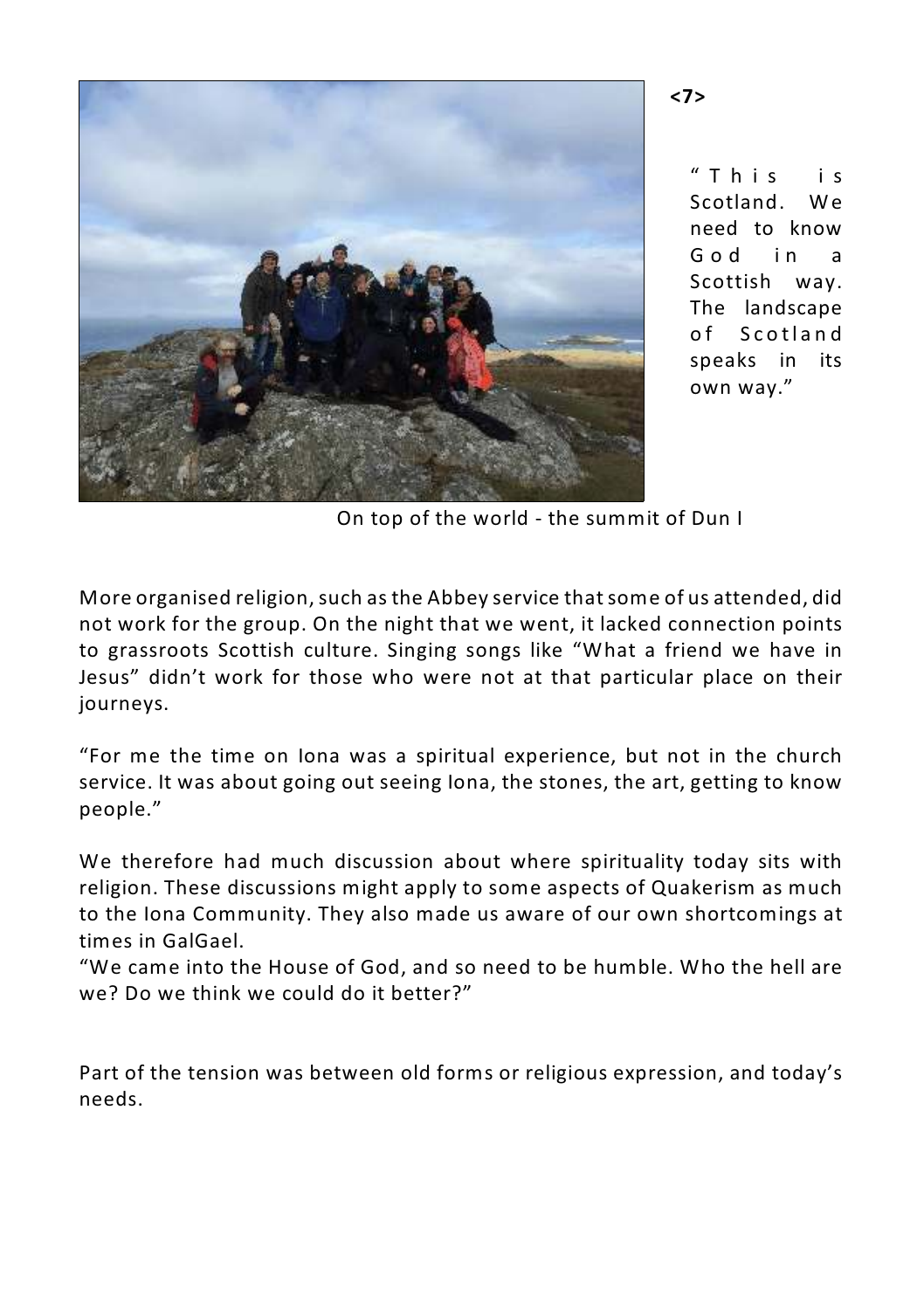

 $"$  T h i s i s Scotland. We need to know God in a Scottish way. The landscape of Scotland speaks in its own way."

On top of the world - the summit of Dun I

More organised religion, such as the Abbey service that some of us attended, did not work for the group. On the night that we went, it lacked connection points to grassroots Scottish culture. Singing songs like "What a friend we have in Jesus" didn't work for those who were not at that particular place on their journeys.

"For me the time on Iona was a spiritual experience, but not in the church service. It was about going out seeing Iona, the stones, the art, getting to know people."

We therefore had much discussion about where spirituality today sits with religion. These discussions might apply to some aspects of Quakerism as much to the Iona Community. They also made us aware of our own shortcomings at times in GalGael.

"We came into the House of God, and so need to be humble. Who the hell are we? Do we think we could do it better?"

Part of the tension was between old forms or religious expression, and today's needs.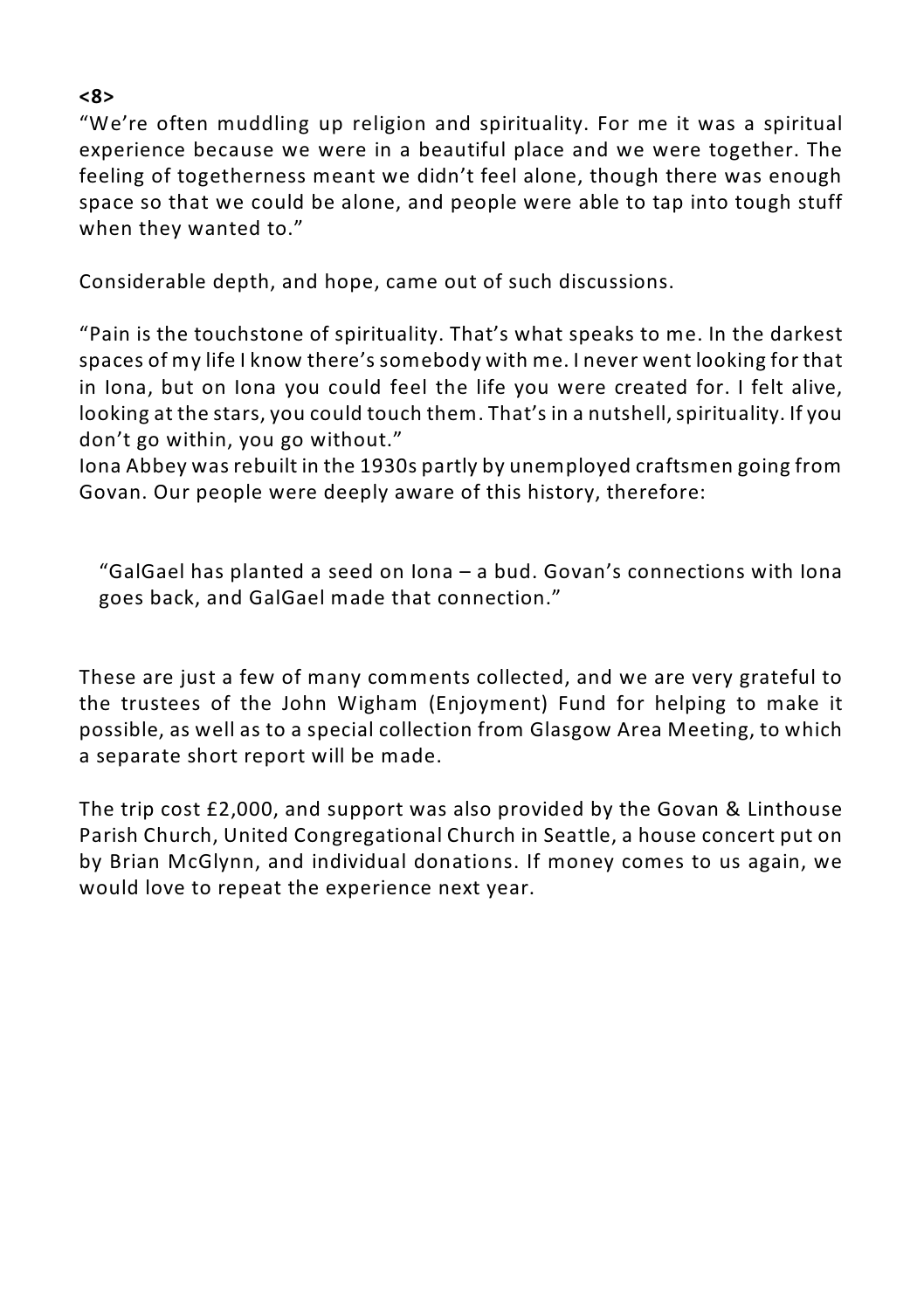#### **<8>**

"We're often muddling up religion and spirituality. For me it was a spiritual experience because we were in a beautiful place and we were together. The feeling of togetherness meant we didn't feel alone, though there was enough space so that we could be alone, and people were able to tap into tough stuff when they wanted to."

Considerable depth, and hope, came out of such discussions.

"Pain is the touchstone of spirituality. That's what speaks to me. In the darkest spaces of my life I know there's somebody with me. I never went looking for that in Iona, but on Iona you could feel the life you were created for. I felt alive, looking at the stars, you could touch them. That's in a nutshell,spirituality. If you don't go within, you go without."

Iona Abbey was rebuilt in the 1930s partly by unemployed craftsmen going from Govan. Our people were deeply aware of this history, therefore:

"GalGael has planted a seed on Iona – a bud. Govan's connections with Iona goes back, and GalGael made that connection."

These are just a few of many comments collected, and we are very grateful to the trustees of the John Wigham (Enjoyment) Fund for helping to make it possible, as well as to a special collection from Glasgow Area Meeting, to which a separate short report will be made.

The trip cost £2,000, and support was also provided by the Govan & Linthouse Parish Church, United Congregational Church in Seattle, a house concert put on by Brian McGlynn, and individual donations. If money comes to us again, we would love to repeat the experience next year.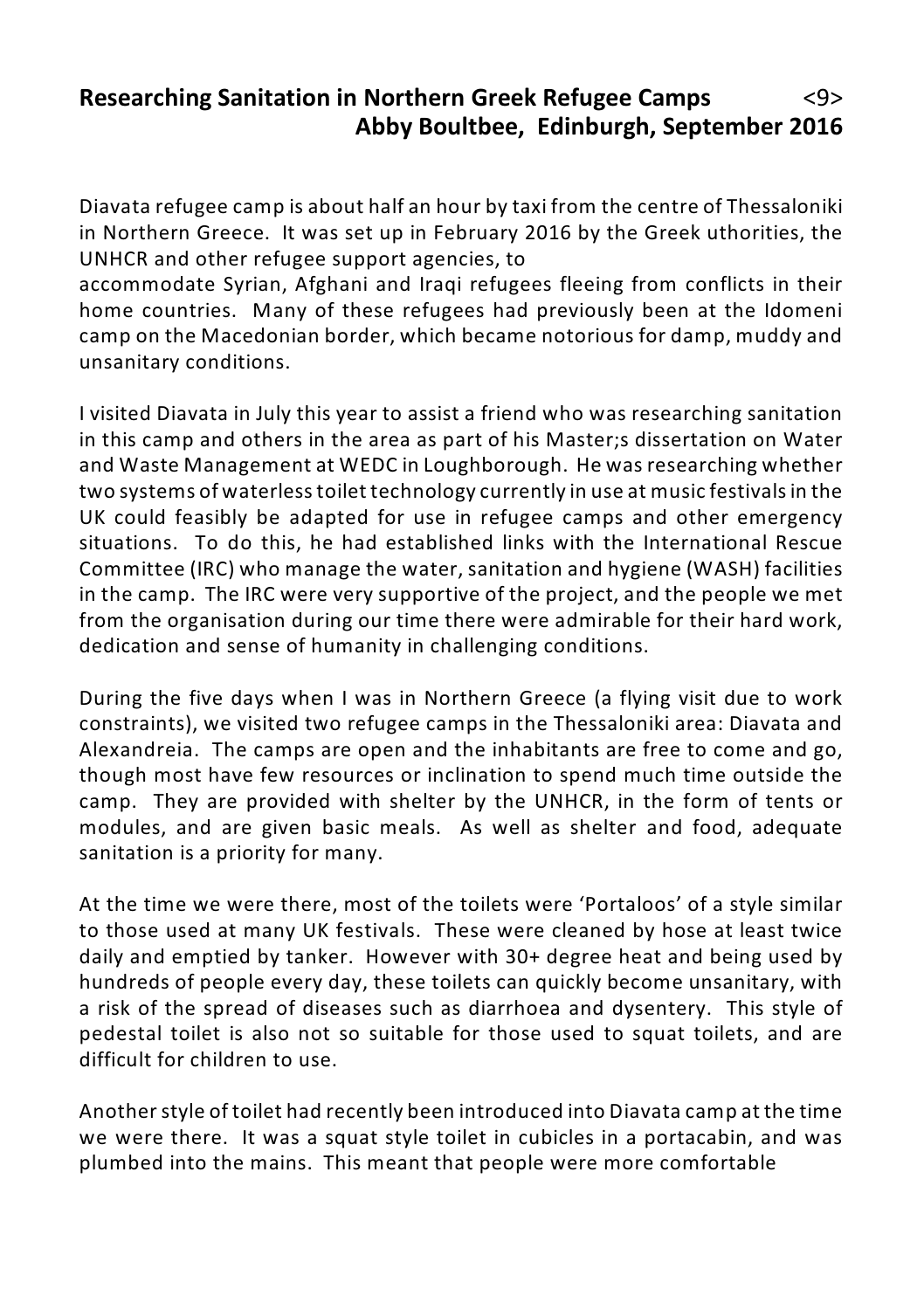### **Researching Sanitation in Northern Greek Refugee Camps** <9> **Abby Boultbee, Edinburgh, September 2016**

Diavata refugee camp is about half an hour by taxi from the centre of Thessaloniki in Northern Greece. It was set up in February 2016 by the Greek uthorities, the UNHCR and other refugee support agencies, to

accommodate Syrian, Afghani and Iraqi refugees fleeing from conflicts in their home countries. Many of these refugees had previously been at the Idomeni camp on the Macedonian border, which became notorious for damp, muddy and unsanitary conditions.

I visited Diavata in July this year to assist a friend who was researching sanitation in this camp and others in the area as part of his Master;s dissertation on Water and Waste Management at WEDC in Loughborough. He was researching whether two systems of waterless toilet technology currently in use at music festivals in the UK could feasibly be adapted for use in refugee camps and other emergency situations. To do this, he had established links with the International Rescue Committee (IRC) who manage the water, sanitation and hygiene (WASH) facilities in the camp. The IRC were very supportive of the project, and the people we met from the organisation during our time there were admirable for their hard work, dedication and sense of humanity in challenging conditions.

During the five days when I was in Northern Greece (a flying visit due to work constraints), we visited two refugee camps in the Thessaloniki area: Diavata and Alexandreia. The camps are open and the inhabitants are free to come and go, though most have few resources or inclination to spend much time outside the camp. They are provided with shelter by the UNHCR, in the form of tents or modules, and are given basic meals. As well as shelter and food, adequate sanitation is a priority for many.

At the time we were there, most of the toilets were 'Portaloos' of a style similar to those used at many UK festivals. These were cleaned by hose at least twice daily and emptied by tanker. However with 30+ degree heat and being used by hundreds of people every day, these toilets can quickly become unsanitary, with a risk of the spread of diseases such as diarrhoea and dysentery. This style of pedestal toilet is also not so suitable for those used to squat toilets, and are difficult for children to use.

Another style of toilet had recently been introduced into Diavata camp at the time we were there. It was a squat style toilet in cubicles in a portacabin, and was plumbed into the mains. This meant that people were more comfortable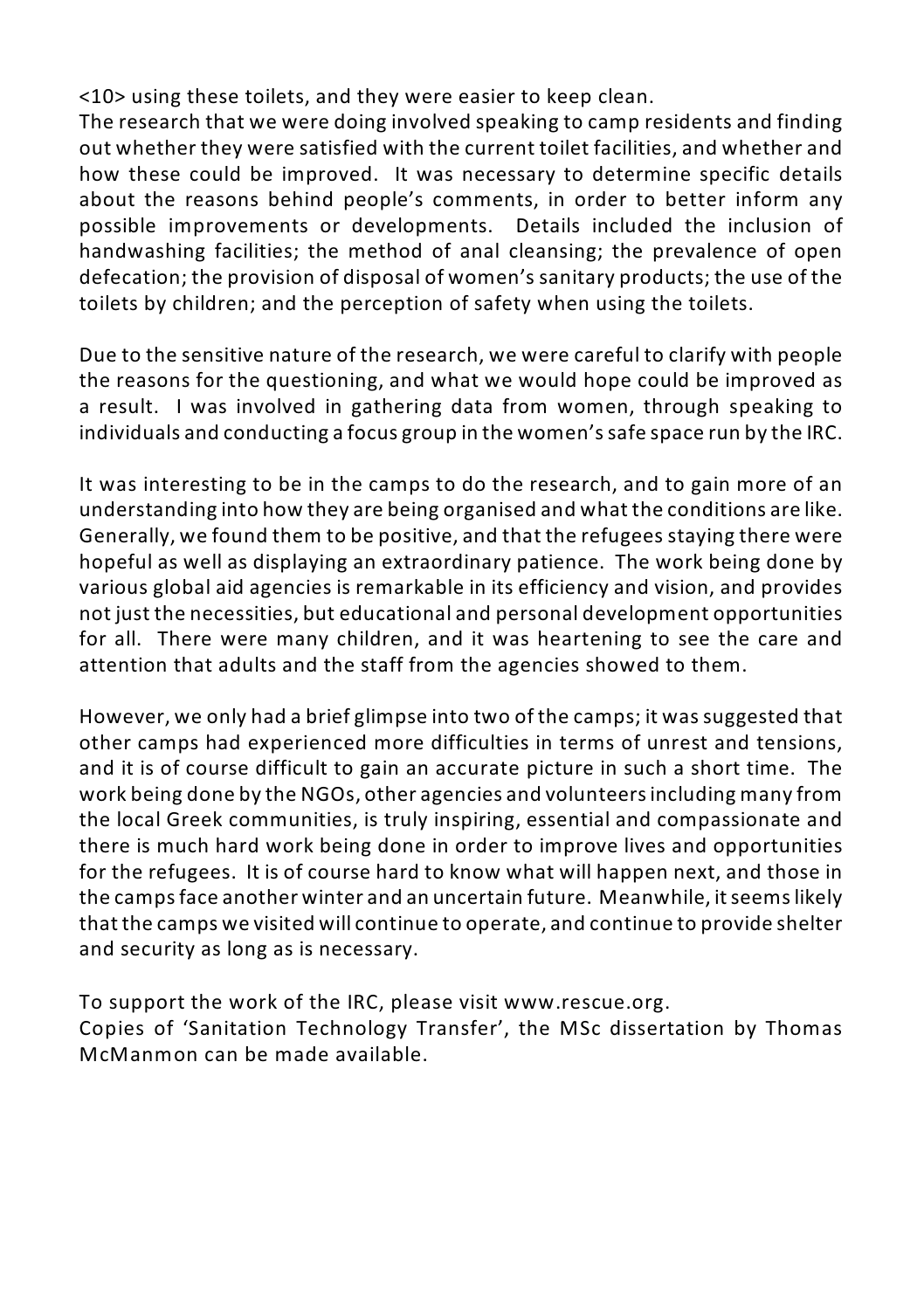<10> using these toilets, and they were easier to keep clean.

The research that we were doing involved speaking to camp residents and finding out whether they were satisfied with the current toilet facilities, and whether and how these could be improved. It was necessary to determine specific details about the reasons behind people's comments, in order to better inform any possible improvements or developments. Details included the inclusion of handwashing facilities; the method of anal cleansing; the prevalence of open defecation; the provision of disposal of women's sanitary products; the use of the toilets by children; and the perception of safety when using the toilets.

Due to the sensitive nature of the research, we were careful to clarify with people the reasons for the questioning, and what we would hope could be improved as a result. I was involved in gathering data from women, through speaking to individuals and conducting a focus group in the women's safe space run by the IRC.

It was interesting to be in the camps to do the research, and to gain more of an understanding into how they are being organised and what the conditions are like. Generally, we found them to be positive, and that the refugees staying there were hopeful as well as displaying an extraordinary patience. The work being done by various global aid agencies is remarkable in its efficiency and vision, and provides not just the necessities, but educational and personal development opportunities for all. There were many children, and it was heartening to see the care and attention that adults and the staff from the agencies showed to them.

However, we only had a brief glimpse into two of the camps; it was suggested that other camps had experienced more difficulties in terms of unrest and tensions, and it is of course difficult to gain an accurate picture in such a short time. The work being done by the NGOs, other agencies and volunteersincluding many from the local Greek communities, is truly inspiring, essential and compassionate and there is much hard work being done in order to improve lives and opportunities for the refugees. It is of course hard to know what will happen next, and those in the camps face another winter and an uncertain future. Meanwhile, it seems likely that the camps we visited will continue to operate, and continue to provide shelter and security as long as is necessary.

To support the work of the IRC, please visit www.rescue.org.

Copies of 'Sanitation Technology Transfer', the MSc dissertation by Thomas McManmon can be made available.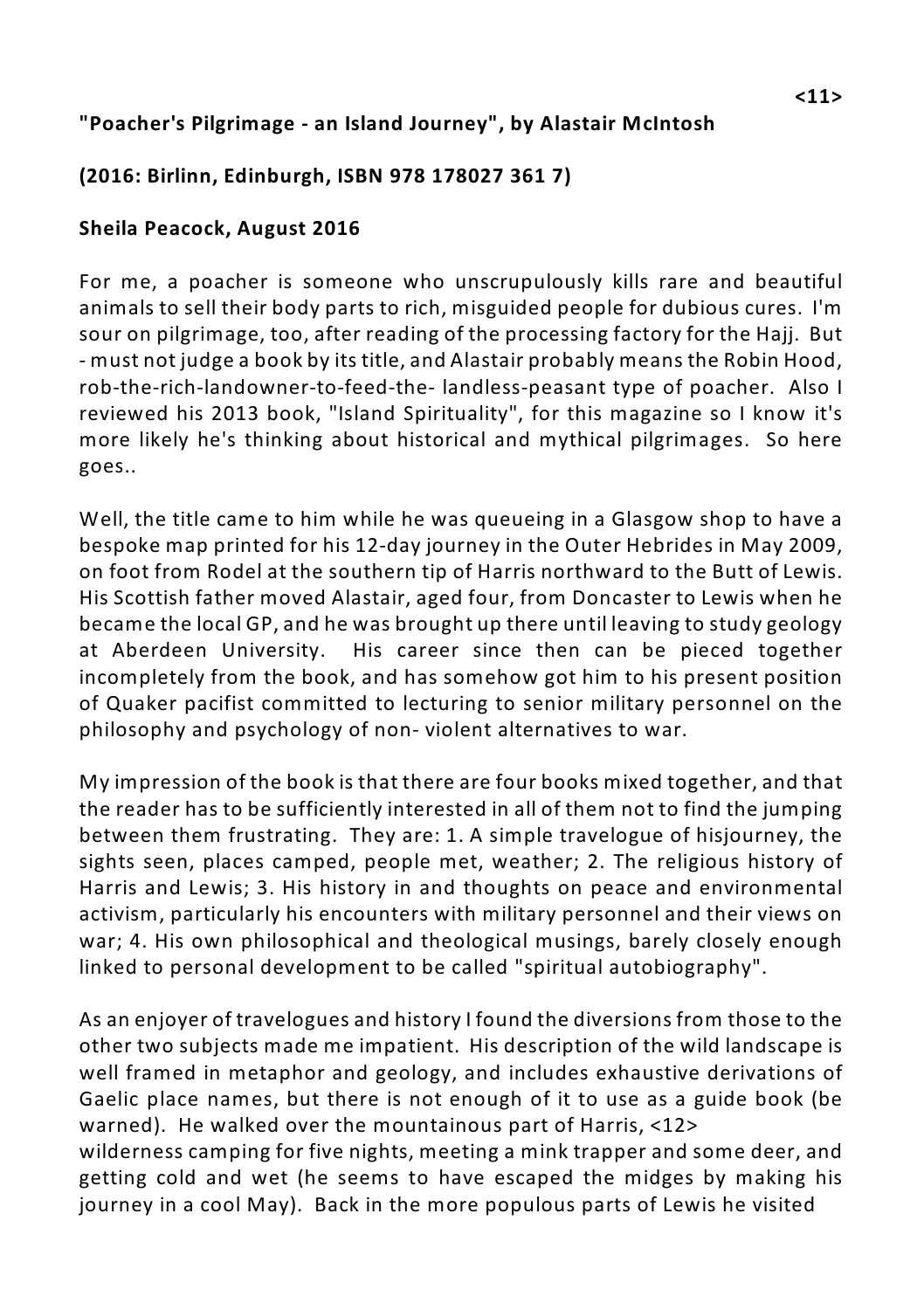#### **"Poacher's Pilgrimage - an Island Journey", by Alastair McIntosh**

#### **(2016: Birlinn, Edinburgh, ISBN 978 178027 361 7)**

#### **Sheila Peacock, August 2016**

For me, a poacher is someone who unscrupulously kills rare and beautiful animals to sell their body parts to rich, misguided people for dubious cures. I'm sour on pilgrimage, too, after reading of the processing factory for the Hajj. But - must not judge a book by its title, and Alastair probably means the Robin Hood, rob-the-rich-landowner-to-feed-the- landless-peasant type of poacher. Also I reviewed his 2013 book, "Island Spirituality", for this magazine so I know it's more likely he's thinking about historical and mythical pilgrimages. So here goes..

Well, the title came to him while he was queueing in a Glasgow shop to have a bespoke map printed for his 12-day journey in the Outer Hebrides in May 2009, on foot from Rodel at the southern tip of Harris northward to the Butt of Lewis. His Scottish father moved Alastair, aged four, from Doncaster to Lewis when he became the local GP, and he was brought up there until leaving to study geology at Aberdeen University. His career since then can be pieced together incompletely from the book, and has somehow got him to his present position of Quaker pacifist committed to lecturing to senior military personnel on the philosophy and psychology of non- violent alternatives to war.

My impression of the book is that there are four books mixed together, and that the reader has to be sufficiently interested in all of them not to find the jumping between them frustrating. They are: 1. A simple travelogue of hisjourney, the sights seen, places camped, people met, weather; 2. The religious history of Harris and Lewis; 3. His history in and thoughts on peace and environmental activism, particularly his encounters with military personnel and their views on war; 4. His own philosophical and theological musings, barely closely enough linked to personal development to be called "spiritual autobiography".

As an enjoyer of travelogues and history I found the diversions from those to the other two subjects made me impatient. His description of the wild landscape is well framed in metaphor and geology, and includes exhaustive derivations of Gaelic place names, but there is not enough of it to use as a guide book (be warned). He walked over the mountainous part of Harris, <12> wilderness camping for five nights, meeting a mink trapper and some deer, and getting cold and wet (he seems to have escaped the midges by making his journey in a cool May). Back in the more populous parts of Lewis he visited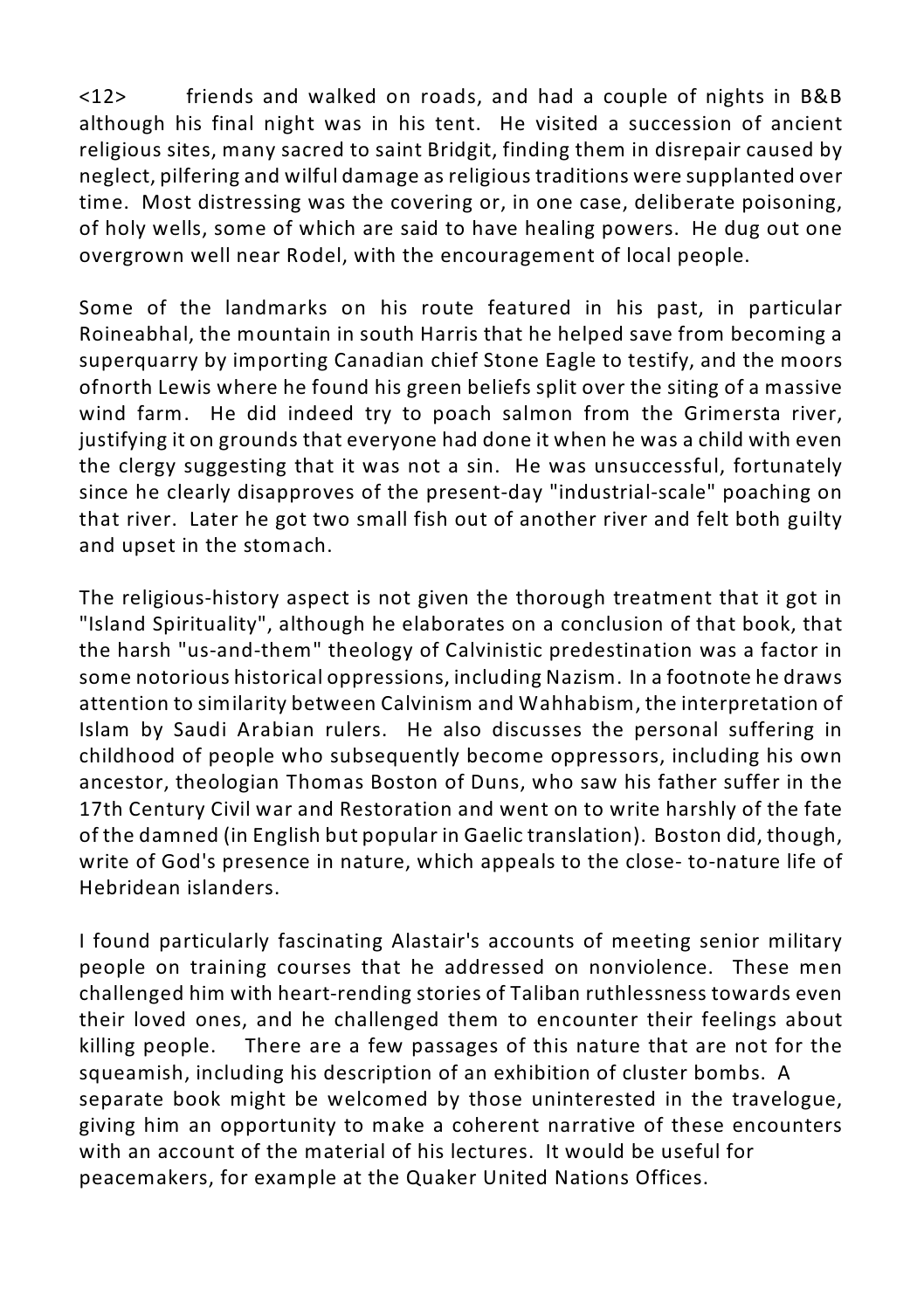<12> friends and walked on roads, and had a couple of nights in B&B although his final night was in his tent. He visited a succession of ancient religious sites, many sacred to saint Bridgit, finding them in disrepair caused by neglect, pilfering and wilful damage as religious traditions were supplanted over time. Most distressing was the covering or, in one case, deliberate poisoning, of holy wells, some of which are said to have healing powers. He dug out one overgrown well near Rodel, with the encouragement of local people.

Some of the landmarks on his route featured in his past, in particular Roineabhal, the mountain in south Harris that he helped save from becoming a superquarry by importing Canadian chief Stone Eagle to testify, and the moors ofnorth Lewis where he found his green beliefs split over the siting of a massive wind farm. He did indeed try to poach salmon from the Grimersta river, justifying it on grounds that everyone had done it when he was a child with even the clergy suggesting that it was not a sin. He was unsuccessful, fortunately since he clearly disapproves of the present-day "industrial-scale" poaching on that river. Later he got two small fish out of another river and felt both guilty and upset in the stomach.

The religious-history aspect is not given the thorough treatment that it got in "Island Spirituality", although he elaborates on a conclusion of that book, that the harsh "us-and-them" theology of Calvinistic predestination was a factor in some notorious historical oppressions, including Nazism. In a footnote he draws attention to similarity between Calvinism and Wahhabism, the interpretation of Islam by Saudi Arabian rulers. He also discusses the personal suffering in childhood of people who subsequently become oppressors, including his own ancestor, theologian Thomas Boston of Duns, who saw his father suffer in the 17th Century Civil war and Restoration and went on to write harshly of the fate of the damned (in English but popular in Gaelic translation). Boston did, though, write of God's presence in nature, which appeals to the close- to-nature life of Hebridean islanders.

I found particularly fascinating Alastair's accounts of meeting senior military people on training courses that he addressed on nonviolence. These men challenged him with heart-rending stories of Taliban ruthlessness towards even their loved ones, and he challenged them to encounter their feelings about killing people. There are a few passages of this nature that are not for the squeamish, including his description of an exhibition of cluster bombs. A separate book might be welcomed by those uninterested in the travelogue, giving him an opportunity to make a coherent narrative of these encounters with an account of the material of his lectures. It would be useful for peacemakers, for example at the Quaker United Nations Offices.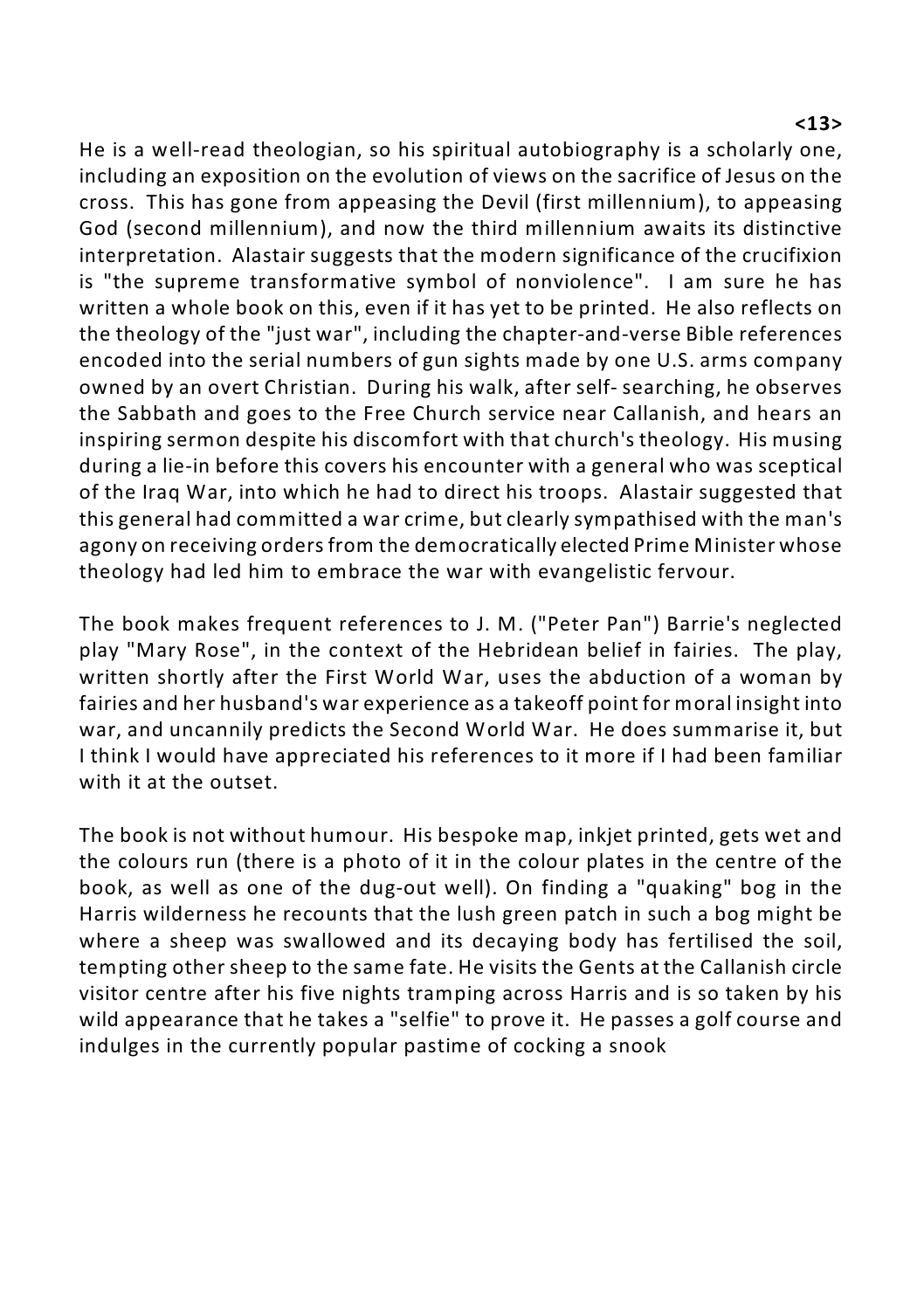#### **<13>**

He is a well-read theologian, so his spiritual autobiography is a scholarly one, including an exposition on the evolution of views on the sacrifice of Jesus on the cross. This has gone from appeasing the Devil (first millennium), to appeasing God (second millennium), and now the third millennium awaits its distinctive interpretation. Alastair suggests that the modern significance of the crucifixion is "the supreme transformative symbol of nonviolence". I am sure he has written a whole book on this, even if it has yet to be printed. He also reflects on the theology of the "just war", including the chapter-and-verse Bible references encoded into the serial numbers of gun sights made by one U.S. arms company owned by an overt Christian. During his walk, after self- searching, he observes the Sabbath and goes to the Free Church service near Callanish, and hears an inspiring sermon despite his discomfort with that church's theology. His musing during a lie-in before this covers his encounter with a general who was sceptical of the Iraq War, into which he had to direct his troops. Alastair suggested that this general had committed a war crime, but clearly sympathised with the man's agony on receiving orders from the democratically elected Prime Minister whose theology had led him to embrace the war with evangelistic fervour.

The book makes frequent references to J. M. ("Peter Pan") Barrie's neglected play "Mary Rose", in the context of the Hebridean belief in fairies. The play, written shortly after the First World War, uses the abduction of a woman by fairies and her husband's war experience as a takeoff point for moral insight into war, and uncannily predicts the Second World War. He does summarise it, but I think I would have appreciated his references to it more if I had been familiar with it at the outset.

The book is not without humour. His bespoke map, inkjet printed, gets wet and the colours run (there is a photo of it in the colour plates in the centre of the book, as well as one of the dug-out well). On finding a "quaking" bog in the Harris wilderness he recounts that the lush green patch in such a bog might be where a sheep was swallowed and its decaying body has fertilised the soil, tempting other sheep to the same fate. He visits the Gents at the Callanish circle visitor centre after his five nights tramping across Harris and is so taken by his wild appearance that he takes a "selfie" to prove it. He passes a golf course and indulges in the currently popular pastime of cocking a snook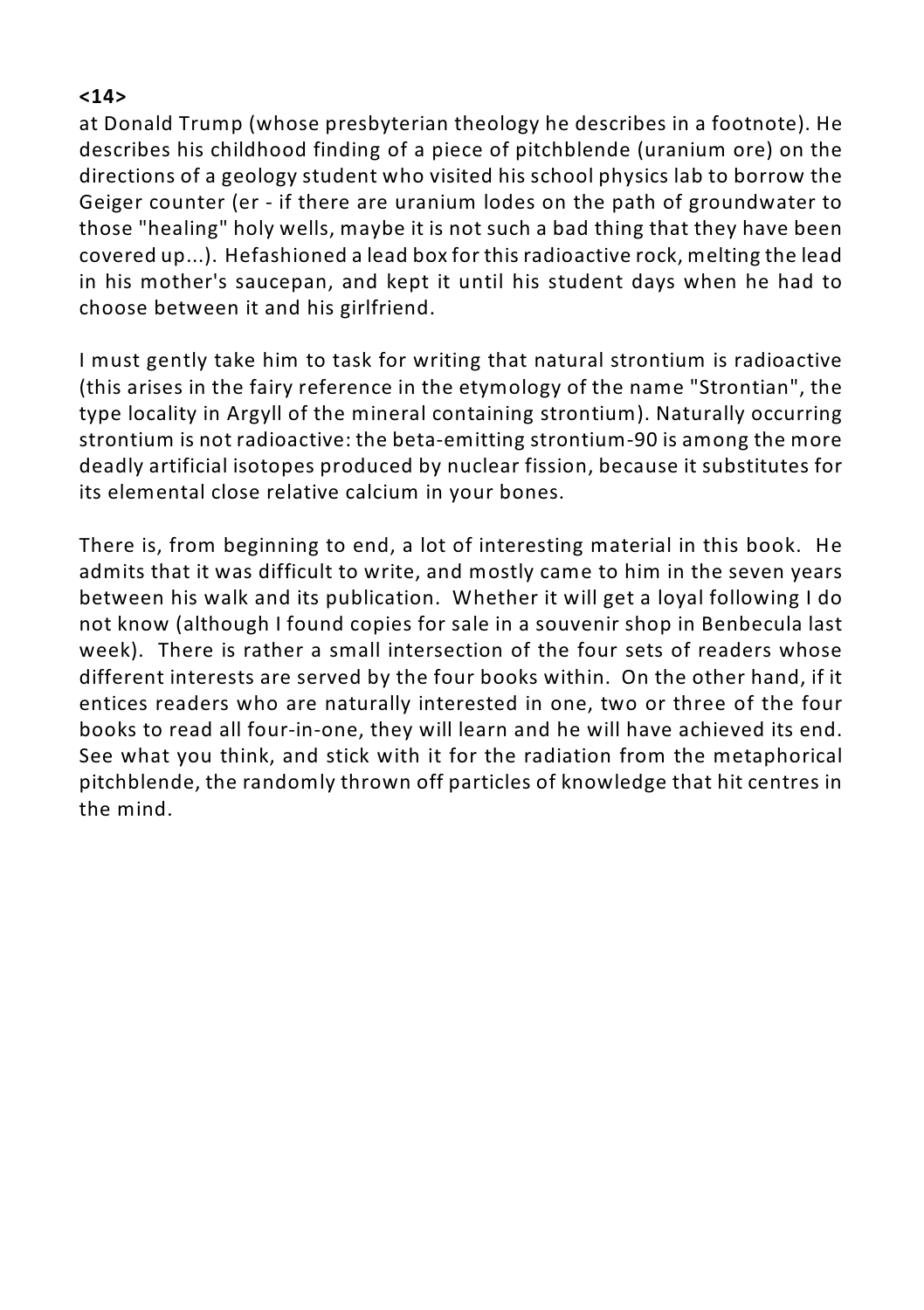#### **<14>**

at Donald Trump (whose presbyterian theology he describes in a footnote). He describes his childhood finding of a piece of pitchblende (uranium ore) on the directions of a geology student who visited his school physics lab to borrow the Geiger counter (er - if there are uranium lodes on the path of groundwater to those "healing" holy wells, maybe it is not such a bad thing that they have been covered up...). Hefashioned a lead box for this radioactive rock, melting the lead in his mother's saucepan, and kept it until his student days when he had to choose between it and his girlfriend.

I must gently take him to task for writing that natural strontium is radioactive (this arises in the fairy reference in the etymology of the name "Strontian", the type locality in Argyll of the mineral containing strontium). Naturally occurring strontium is not radioactive: the beta-emitting strontium-90 is among the more deadly artificial isotopes produced by nuclear fission, because it substitutes for its elemental close relative calcium in your bones.

There is, from beginning to end, a lot of interesting material in this book. He admits that it was difficult to write, and mostly came to him in the seven years between his walk and its publication. Whether it will get a loyal following I do not know (although I found copies for sale in a souvenir shop in Benbecula last week). There is rather a small intersection of the four sets of readers whose different interests are served by the four books within. On the other hand, if it entices readers who are naturally interested in one, two or three of the four books to read all four-in-one, they will learn and he will have achieved its end. See what you think, and stick with it for the radiation from the metaphorical pitchblende, the randomly thrown off particles of knowledge that hit centres in the mind.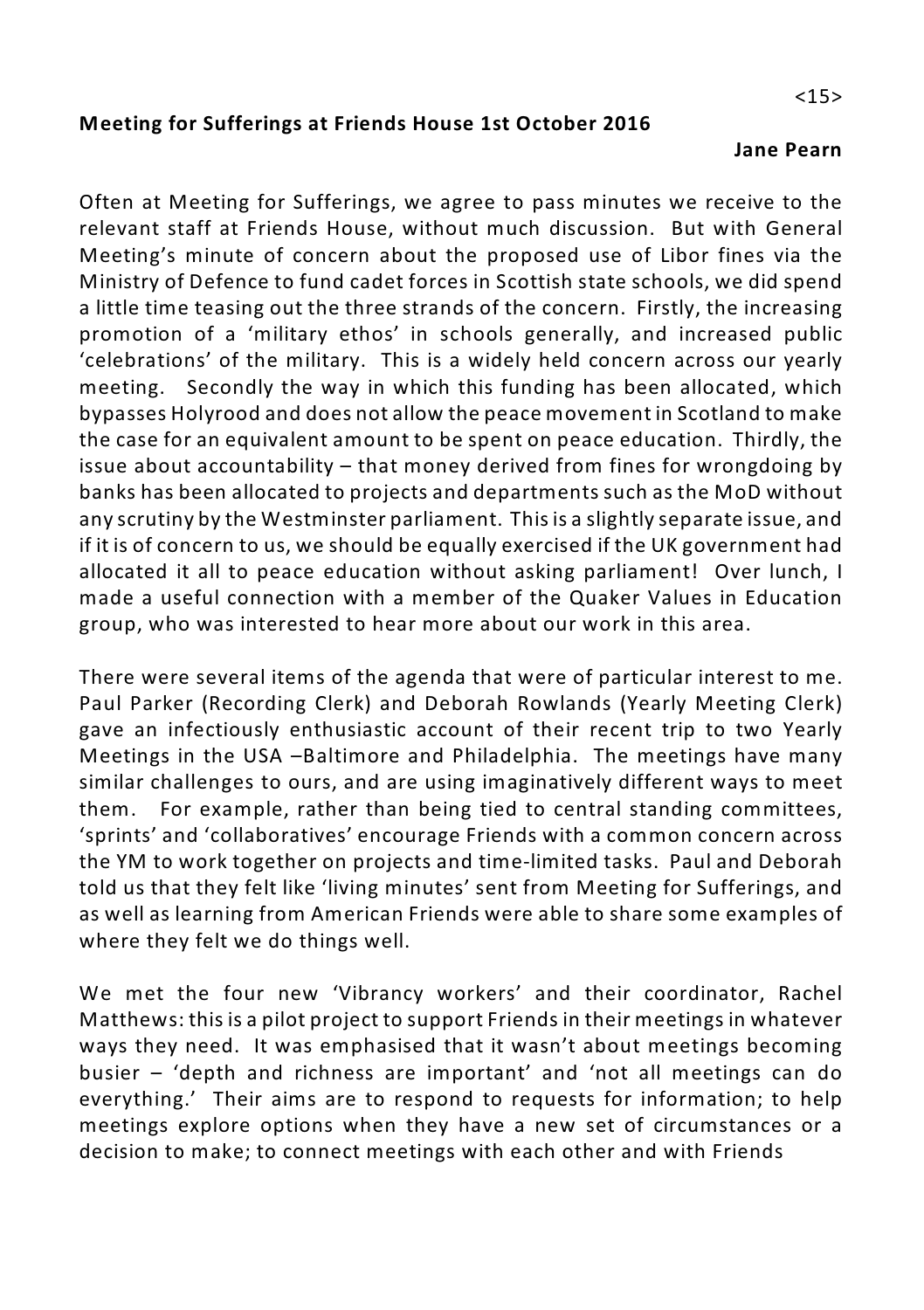#### **Meeting for Sufferings at Friends House 1st October 2016**

#### **Jane Pearn**

Often at Meeting for Sufferings, we agree to pass minutes we receive to the relevant staff at Friends House, without much discussion. But with General Meeting's minute of concern about the proposed use of Libor fines via the Ministry of Defence to fund cadet forces in Scottish state schools, we did spend a little time teasing out the three strands of the concern. Firstly, the increasing promotion of a 'military ethos' in schools generally, and increased public 'celebrations' of the military. This is a widely held concern across our yearly meeting. Secondly the way in which this funding has been allocated, which bypasses Holyrood and does not allow the peace movement in Scotland to make the case for an equivalent amount to be spent on peace education. Thirdly, the issue about accountability – that money derived from fines for wrongdoing by banks has been allocated to projects and departments such as the MoD without any scrutiny by the Westminster parliament. This is a slightly separate issue, and if it is of concern to us, we should be equally exercised if the UK government had allocated it all to peace education without asking parliament! Over lunch, I made a useful connection with a member of the Quaker Values in Education group, who was interested to hear more about our work in this area.

There were several items of the agenda that were of particular interest to me. Paul Parker (Recording Clerk) and Deborah Rowlands (Yearly Meeting Clerk) gave an infectiously enthusiastic account of their recent trip to two Yearly Meetings in the USA –Baltimore and Philadelphia. The meetings have many similar challenges to ours, and are using imaginatively different ways to meet them. For example, rather than being tied to central standing committees, 'sprints' and 'collaboratives' encourage Friends with a common concern across the YM to work together on projects and time-limited tasks. Paul and Deborah told us that they felt like 'living minutes' sent from Meeting for Sufferings, and as well as learning from American Friends were able to share some examples of where they felt we do things well.

We met the four new 'Vibrancy workers' and their coordinator, Rachel Matthews: this is a pilot project to support Friends in their meetings in whatever ways they need. It was emphasised that it wasn't about meetings becoming busier – 'depth and richness are important' and 'not all meetings can do everything.' Their aims are to respond to requests for information; to help meetings explore options when they have a new set of circumstances or a decision to make; to connect meetings with each other and with Friends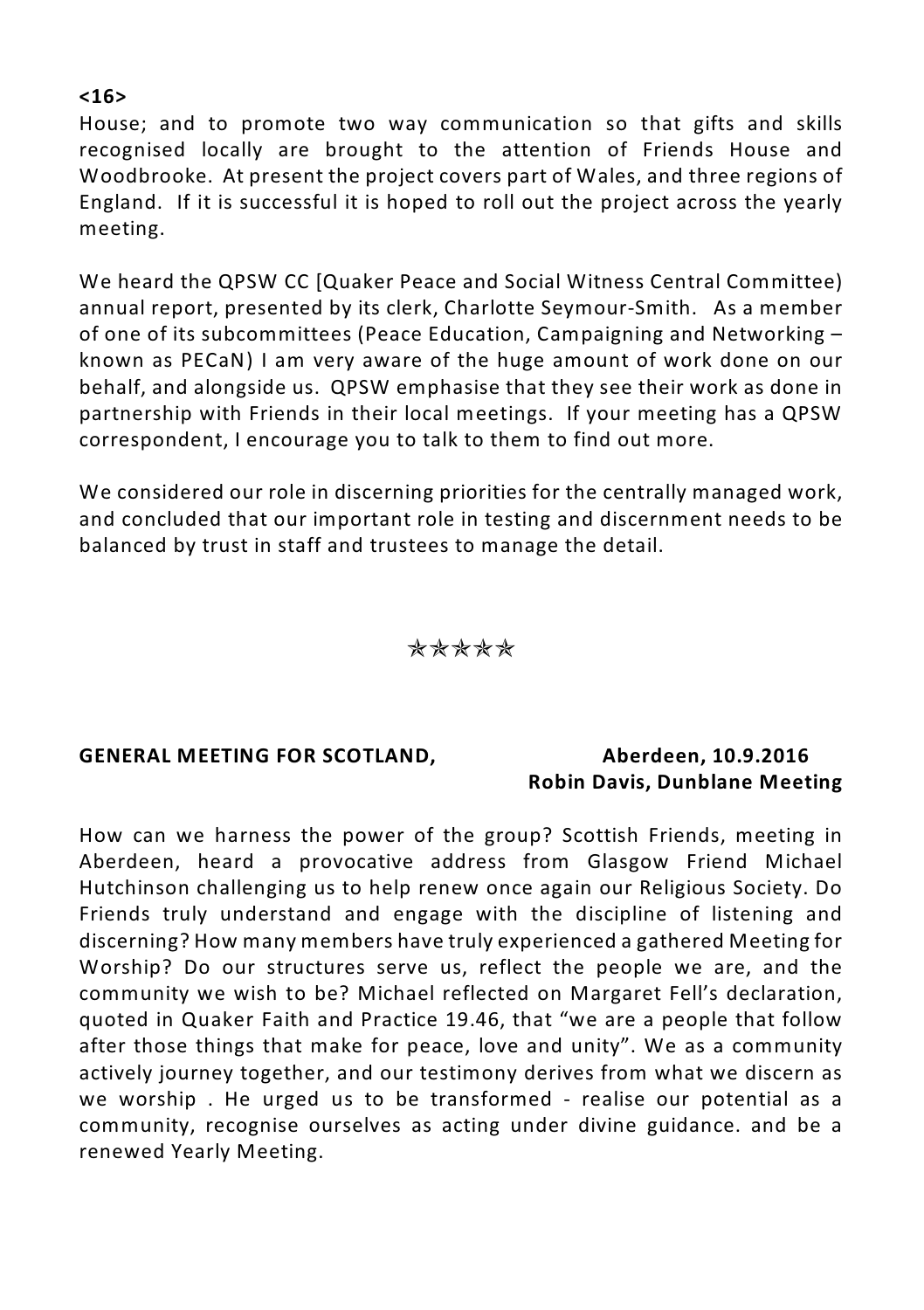#### House; and to promote two way communication so that gifts and skills recognised locally are brought to the attention of Friends House and Woodbrooke. At present the project covers part of Wales, and three regions of England. If it is successful it is hoped to roll out the project across the yearly meeting.

We heard the QPSW CC [Quaker Peace and Social Witness Central Committee) annual report, presented by its clerk, Charlotte Seymour-Smith. As a member of one of its subcommittees (Peace Education, Campaigning and Networking – known as PECaN) I am very aware of the huge amount of work done on our behalf, and alongside us. QPSW emphasise that they see their work as done in partnership with Friends in their local meetings. If your meeting has a QPSW correspondent, I encourage you to talk to them to find out more.

We considered our role in discerning priorities for the centrally managed work, and concluded that our important role in testing and discernment needs to be balanced by trust in staff and trustees to manage the detail.

#### **\*\*\*\*\***

#### **GENERAL MEETING FOR SCOTLAND, Aberdeen, 10.9.2016**

## **Robin Davis, Dunblane Meeting**

How can we harness the power of the group? Scottish Friends, meeting in Aberdeen, heard a provocative address from Glasgow Friend Michael Hutchinson challenging us to help renew once again our Religious Society. Do Friends truly understand and engage with the discipline of listening and discerning? How many members have truly experienced a gathered Meeting for Worship? Do our structures serve us, reflect the people we are, and the community we wish to be? Michael reflected on Margaret Fell's declaration, quoted in Quaker Faith and Practice 19.46, that "we are a people that follow after those things that make for peace, love and unity". We as a community actively journey together, and our testimony derives from what we discern as we worship . He urged us to be transformed - realise our potential as a community, recognise ourselves as acting under divine guidance. and be a renewed Yearly Meeting.

#### **<16>**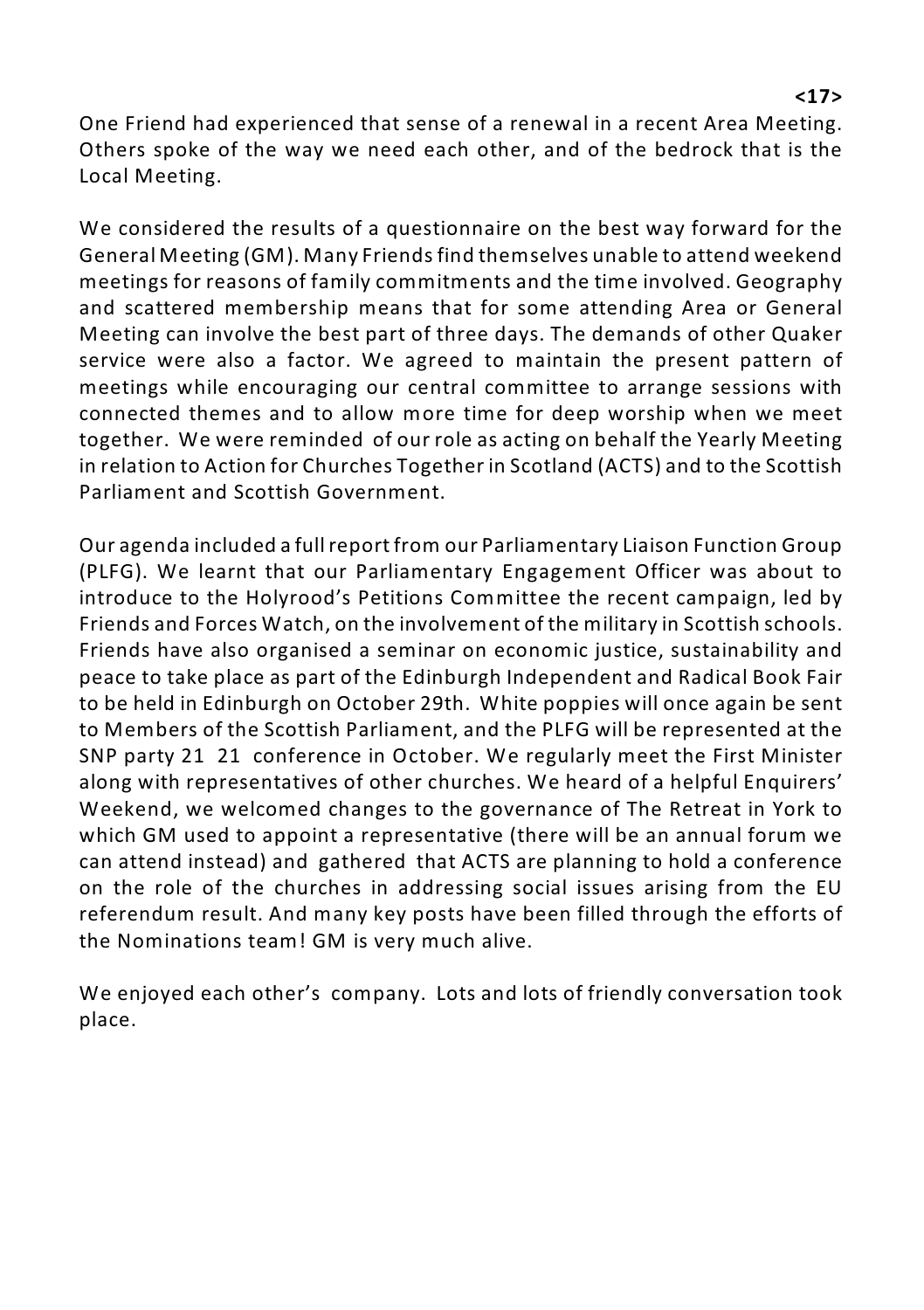One Friend had experienced that sense of a renewal in a recent Area Meeting. Others spoke of the way we need each other, and of the bedrock that is the Local Meeting.

We considered the results of a questionnaire on the best way forward for the General Meeting (GM). Many Friends find themselves unable to attend weekend meetings for reasons of family commitments and the time involved. Geography and scattered membership means that for some attending Area or General Meeting can involve the best part of three days. The demands of other Quaker service were also a factor. We agreed to maintain the present pattern of meetings while encouraging our central committee to arrange sessions with connected themes and to allow more time for deep worship when we meet together. We were reminded of our role as acting on behalf the Yearly Meeting in relation to Action for Churches Together in Scotland (ACTS) and to the Scottish Parliament and Scottish Government.

Our agenda included a full report from our Parliamentary Liaison Function Group (PLFG). We learnt that our Parliamentary Engagement Officer was about to introduce to the Holyrood's Petitions Committee the recent campaign, led by Friends and Forces Watch, on the involvement of the military in Scottish schools. Friends have also organised a seminar on economic justice, sustainability and peace to take place as part of the Edinburgh Independent and Radical Book Fair to be held in Edinburgh on October 29th. White poppies will once again be sent to Members of the Scottish Parliament, and the PLFG will be represented at the SNP party 21 21 conference in October. We regularly meet the First Minister along with representatives of other churches. We heard of a helpful Enquirers' Weekend, we welcomed changes to the governance of The Retreat in York to which GM used to appoint a representative (there will be an annual forum we can attend instead) and gathered that ACTS are planning to hold a conference on the role of the churches in addressing social issues arising from the EU referendum result. And many key posts have been filled through the efforts of the Nominations team! GM is very much alive.

We enjoyed each other's company. Lots and lots of friendly conversation took place.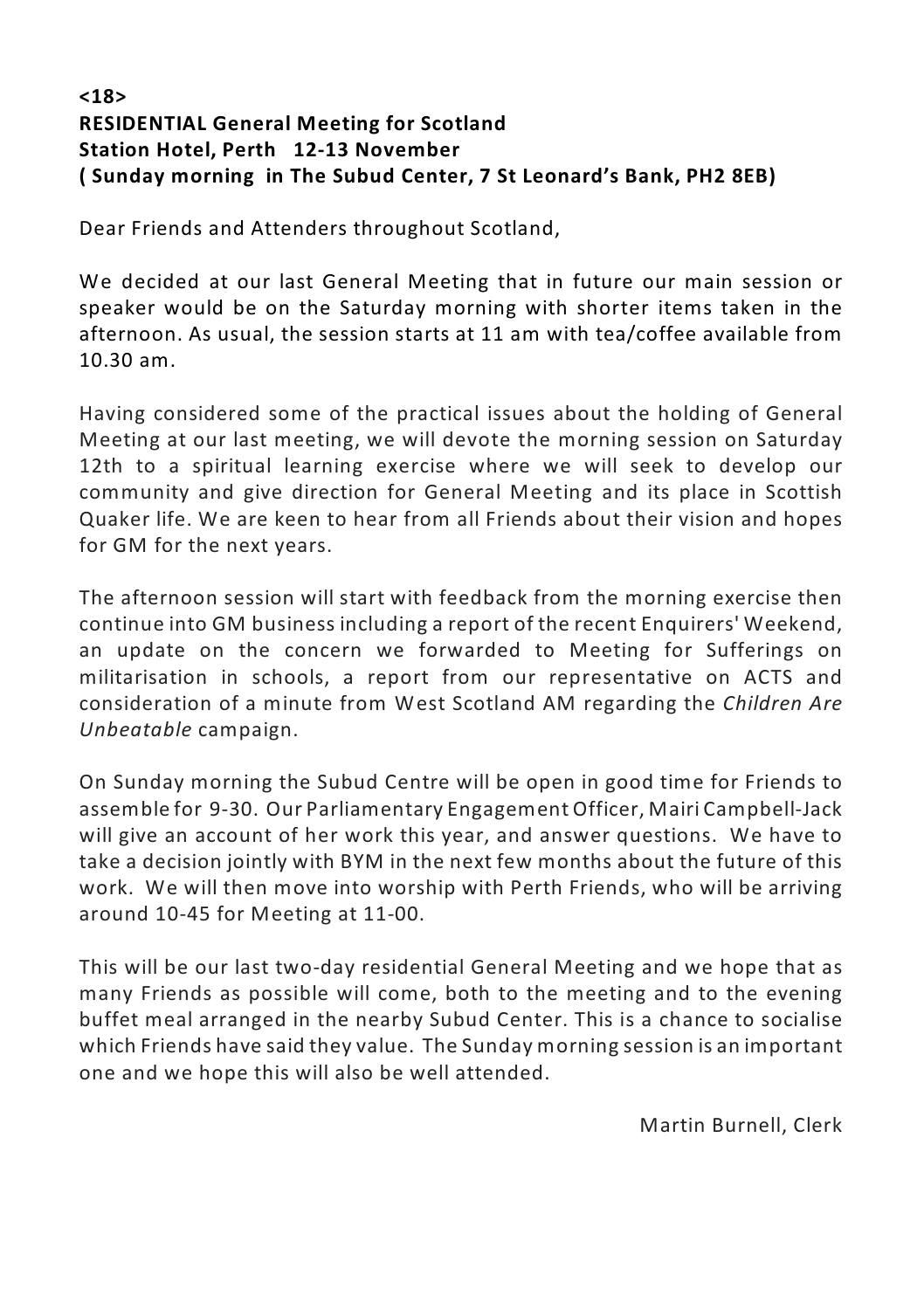#### **<18> RESIDENTIAL General Meeting for Scotland Station Hotel, Perth 12-13 November ( Sunday morning in The Subud Center, 7 St Leonard's Bank, PH2 8EB)**

Dear Friends and Attenders throughout Scotland,

We decided at our last General Meeting that in future our main session or speaker would be on the Saturday morning with shorter items taken in the afternoon. As usual, the session starts at 11 am with tea/coffee available from 10.30 am.

Having considered some of the practical issues about the holding of General Meeting at our last meeting, we will devote the morning session on Saturday 12th to a spiritual learning exercise where we will seek to develop our community and give direction for General Meeting and its place in Scottish Quaker life. We are keen to hear from all Friends about their vision and hopes for GM for the next years.

The afternoon session will start with feedback from the morning exercise then continue into GM business including a report of the recent Enquirers' Weekend, an update on the concern we forwarded to Meeting for Sufferings on militarisation in schools, a report from our representative on ACTS and consideration of a minute from West Scotland AM regarding the *Children Are Unbeatable* campaign.

On Sunday morning the Subud Centre will be open in good time for Friends to assemble for 9-30. Our Parliamentary Engagement Officer, Mairi Campbell-Jack will give an account of her work this year, and answer questions. We have to take a decision jointly with BYM in the next few months about the future of this work. We will then move into worship with Perth Friends, who will be arriving around 10-45 for Meeting at 11-00.

This will be our last two-day residential General Meeting and we hope that as many Friends as possible will come, both to the meeting and to the evening buffet meal arranged in the nearby Subud Center. This is a chance to socialise which Friends have said they value. The Sunday morning session is an important one and we hope this will also be well attended.

Martin Burnell, Clerk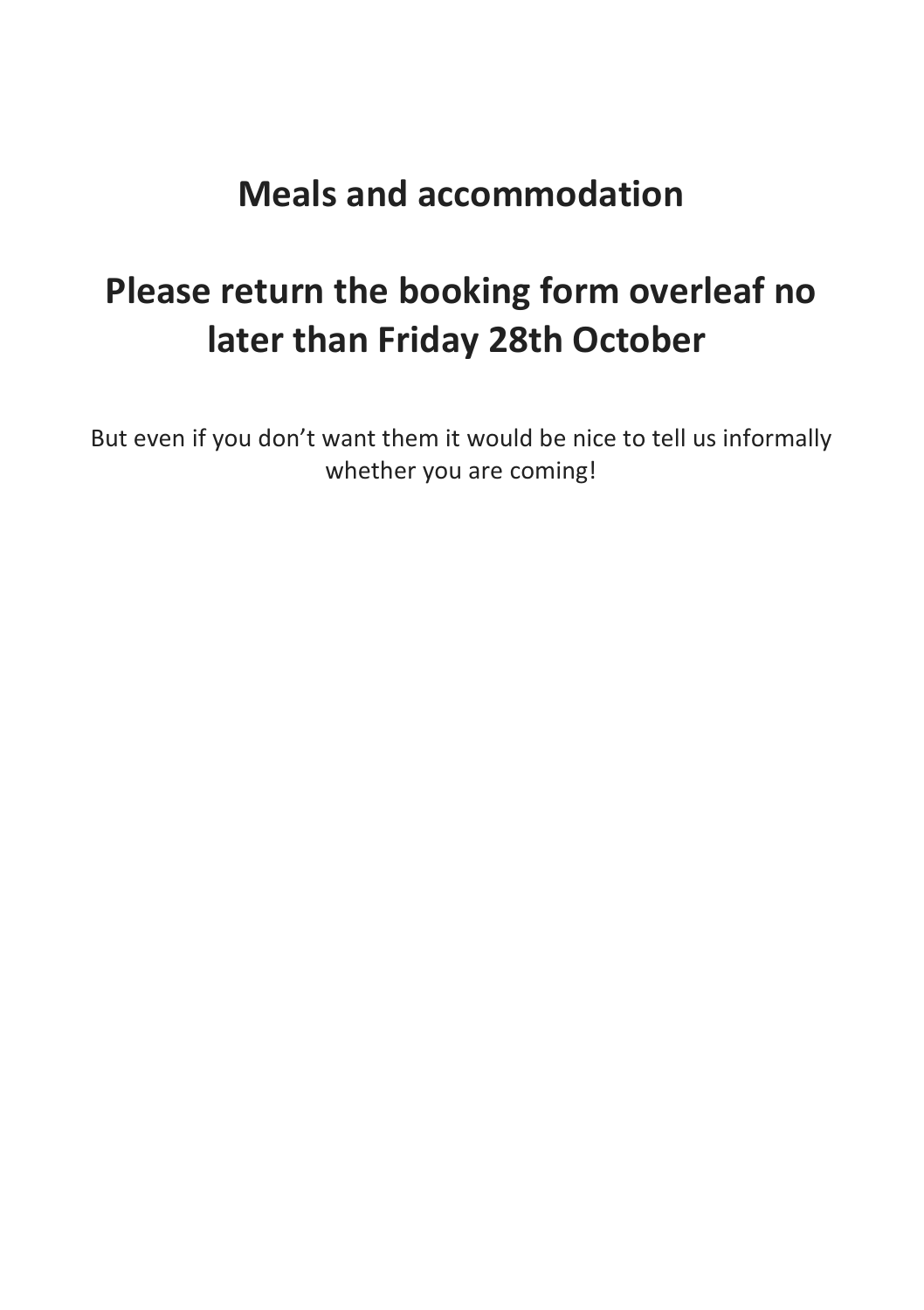### **Meals and accommodation**

### **Please return the booking form overleaf no later than Friday 28th October**

But even if you don't want them it would be nice to tell us informally whether you are coming!